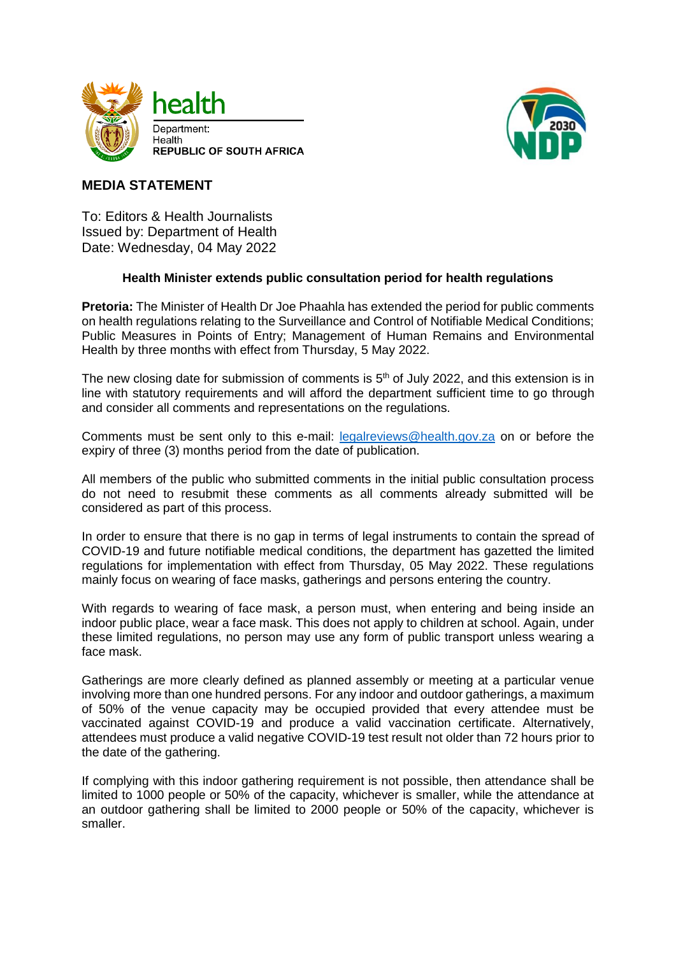



## **MEDIA STATEMENT**

To: Editors & Health Journalists Issued by: Department of Health Date: Wednesday, 04 May 2022

## **Health Minister extends public consultation period for health regulations**

**Pretoria:** The Minister of Health Dr Joe Phaahla has extended the period for public comments on health regulations relating to the Surveillance and Control of Notifiable Medical Conditions; Public Measures in Points of Entry; Management of Human Remains and Environmental Health by three months with effect from Thursday, 5 May 2022.

The new closing date for submission of comments is  $5<sup>th</sup>$  of July 2022, and this extension is in line with statutory requirements and will afford the department sufficient time to go through and consider all comments and representations on the regulations.

Comments must be sent only to this e-mail: [legalreviews@health.gov.za](mailto:legalreviews@health.gov.za) on or before the expiry of three (3) months period from the date of publication.

All members of the public who submitted comments in the initial public consultation process do not need to resubmit these comments as all comments already submitted will be considered as part of this process.

In order to ensure that there is no gap in terms of legal instruments to contain the spread of COVID-19 and future notifiable medical conditions, the department has gazetted the limited regulations for implementation with effect from Thursday, 05 May 2022. These regulations mainly focus on wearing of face masks, gatherings and persons entering the country.

With regards to wearing of face mask, a person must, when entering and being inside an indoor public place, wear a face mask. This does not apply to children at school. Again, under these limited regulations, no person may use any form of public transport unless wearing a face mask.

Gatherings are more clearly defined as planned assembly or meeting at a particular venue involving more than one hundred persons. For any indoor and outdoor gatherings, a maximum of 50% of the venue capacity may be occupied provided that every attendee must be vaccinated against COVID-19 and produce a valid vaccination certificate. Alternatively, attendees must produce a valid negative COVID-19 test result not older than 72 hours prior to the date of the gathering.

If complying with this indoor gathering requirement is not possible, then attendance shall be limited to 1000 people or 50% of the capacity, whichever is smaller, while the attendance at an outdoor gathering shall be limited to 2000 people or 50% of the capacity, whichever is smaller.